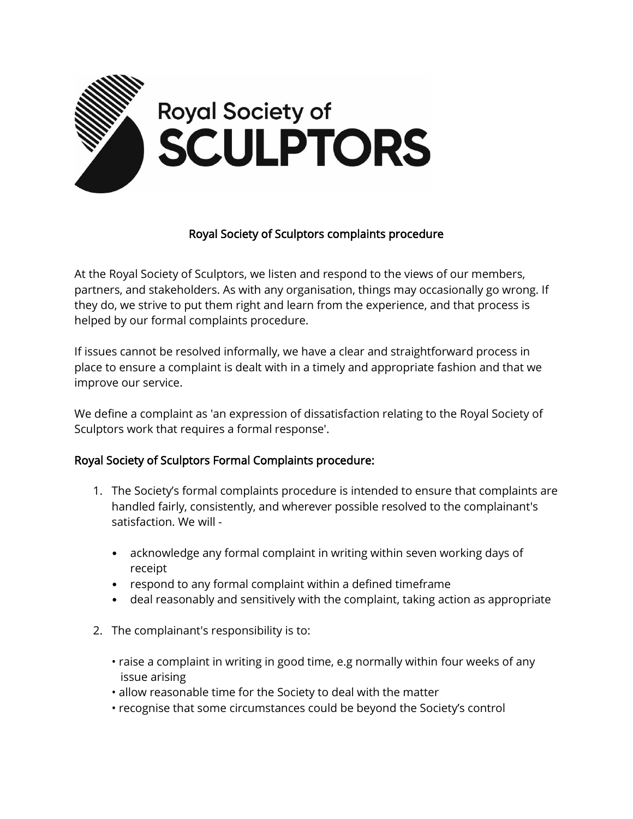

## Royal Society of Sculptors complaints procedure

At the Royal Society of Sculptors, we listen and respond to the views of our members, partners, and stakeholders. As with any organisation, things may occasionally go wrong. If they do, we strive to put them right and learn from the experience, and that process is helped by our formal complaints procedure.

If issues cannot be resolved informally, we have a clear and straightforward process in place to ensure a complaint is dealt with in a timely and appropriate fashion and that we improve our service.

We define a complaint as 'an expression of dissatisfaction relating to the Royal Society of Sculptors work that requires a formal response'.

## Royal Society of Sculptors Formal Complaints procedure:

- 1. The Society's formal complaints procedure is intended to ensure that complaints are handled fairly, consistently, and wherever possible resolved to the complainant's satisfaction. We will -
	- acknowledge any formal complaint in writing within seven working days of receipt
	- respond to any formal complaint within a defined timeframe
	- deal reasonably and sensitively with the complaint, taking action as appropriate
- 2. The complainant's responsibility is to:
	- raise a complaint in writing in good time, e.g normally within four weeks of any issue arising
	- allow reasonable time for the Society to deal with the matter
	- recognise that some circumstances could be beyond the Society's control